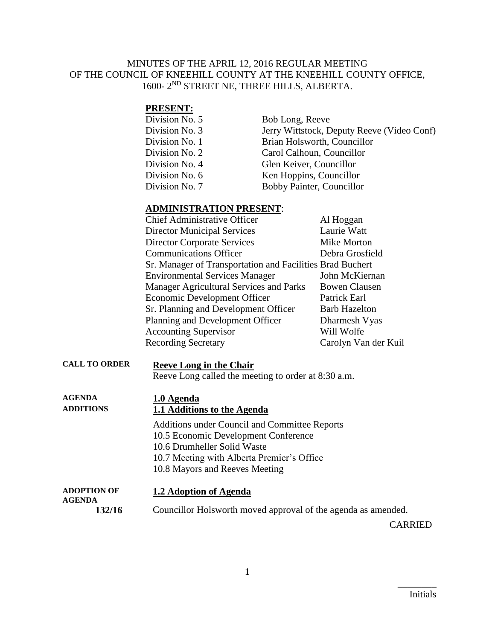#### MINUTES OF THE APRIL 12, 2016 REGULAR MEETING OF THE COUNCIL OF KNEEHILL COUNTY AT THE KNEEHILL COUNTY OFFICE, 1600- 2 ND STREET NE, THREE HILLS, ALBERTA.

#### **PRESENT:**

| Division No. 5 | Bob Long, Reeve                            |
|----------------|--------------------------------------------|
| Division No. 3 | Jerry Wittstock, Deputy Reeve (Video Conf) |
| Division No. 1 | Brian Holsworth, Councillor                |
| Division No. 2 | Carol Calhoun, Councillor                  |
| Division No. 4 | Glen Keiver, Councillor                    |
| Division No. 6 | Ken Hoppins, Councillor                    |
| Division No. 7 | Bobby Painter, Councillor                  |
|                |                                            |

#### **ADMINISTRATION PRESENT**:

| <b>Chief Administrative Officer</b>                       | Al Hoggan            |
|-----------------------------------------------------------|----------------------|
| <b>Director Municipal Services</b>                        | Laurie Watt          |
| <b>Director Corporate Services</b>                        | Mike Morton          |
| <b>Communications Officer</b>                             | Debra Grosfield      |
| Sr. Manager of Transportation and Facilities Brad Buchert |                      |
| <b>Environmental Services Manager</b>                     | John McKiernan       |
| Manager Agricultural Services and Parks                   | <b>Bowen Clausen</b> |
| Economic Development Officer                              | Patrick Earl         |
| Sr. Planning and Development Officer                      | <b>Barb Hazelton</b> |
| Planning and Development Officer                          | Dharmesh Vyas        |
| <b>Accounting Supervisor</b>                              | Will Wolfe           |
| <b>Recording Secretary</b>                                | Carolyn Van der Kuil |

**CALL TO ORDER Reeve Long in the Chair** Reeve Long called the meeting to order at 8:30 a.m.

| <b>AGENDA</b><br><b>ADDITIONS</b>   | 1.0 Agenda<br>1.1 Additions to the Agenda     |
|-------------------------------------|-----------------------------------------------|
|                                     | Additions under Council and Committee Reports |
|                                     | 10.5 Economic Development Conference          |
|                                     | 10.6 Drumheller Solid Waste                   |
|                                     | 10.7 Meeting with Alberta Premier's Office    |
|                                     | 10.8 Mayors and Reeves Meeting                |
| <b>ADOPTION OF</b><br><b>AGENDA</b> | 1.2 Adoption of Agenda                        |

**132/16** Councillor Holsworth moved approval of the agenda as amended.

CARRIED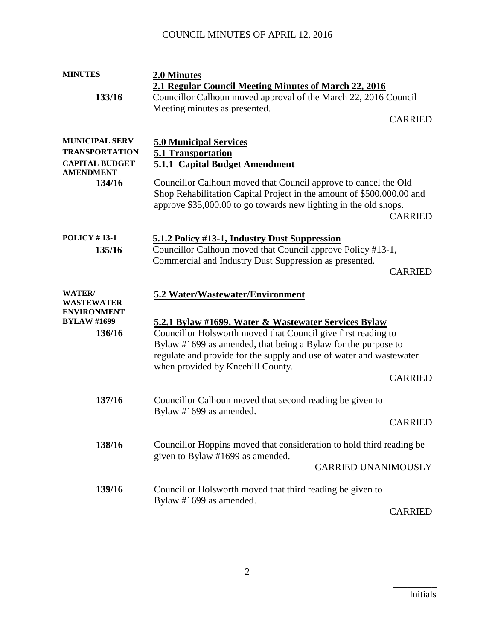# COUNCIL MINUTES OF APRIL 12, 2016

| <b>MINUTES</b>        | 2.0 Minutes                                                           |
|-----------------------|-----------------------------------------------------------------------|
|                       | 2.1 Regular Council Meeting Minutes of March 22, 2016                 |
| 133/16                | Councillor Calhoun moved approval of the March 22, 2016 Council       |
|                       | Meeting minutes as presented.                                         |
|                       | <b>CARRIED</b>                                                        |
|                       |                                                                       |
| <b>MUNICIPAL SERV</b> | <b>5.0 Municipal Services</b>                                         |
| <b>TRANSPORTATION</b> | 5.1 Transportation                                                    |
| <b>CAPITAL BUDGET</b> | <b>5.1.1 Capital Budget Amendment</b>                                 |
| <b>AMENDMENT</b>      |                                                                       |
| 134/16                | Councillor Calhoun moved that Council approve to cancel the Old       |
|                       | Shop Rehabilitation Capital Project in the amount of \$500,000.00 and |
|                       | approve \$35,000.00 to go towards new lighting in the old shops.      |
|                       | <b>CARRIED</b>                                                        |
|                       |                                                                       |
| <b>POLICY #13-1</b>   | 5.1.2 Policy #13-1, Industry Dust Suppression                         |
| 135/16                | Councillor Calhoun moved that Council approve Policy #13-1,           |
|                       | Commercial and Industry Dust Suppression as presented.                |
|                       | <b>CARRIED</b>                                                        |
|                       |                                                                       |
| WATER/                | 5.2 Water/Wastewater/Environment                                      |
| WASTEWATER            |                                                                       |
| <b>ENVIRONMENT</b>    |                                                                       |
| <b>BYLAW #1699</b>    | <u>5.2.1 Bylaw #1699, Water &amp; Wastewater Services Bylaw</u>       |
| 136/16                | Councillor Holsworth moved that Council give first reading to         |
|                       | Bylaw #1699 as amended, that being a Bylaw for the purpose to         |
|                       | regulate and provide for the supply and use of water and wastewater   |
|                       | when provided by Kneehill County.                                     |
|                       | <b>CARRIED</b>                                                        |
|                       |                                                                       |
| 137/16                | Councillor Calhoun moved that second reading be given to              |
|                       | Bylaw #1699 as amended.                                               |
|                       | <b>CARRIED</b>                                                        |
|                       |                                                                       |
| 138/16                | Councillor Hoppins moved that consideration to hold third reading be  |
|                       | given to Bylaw #1699 as amended.                                      |
|                       | <b>CARRIED UNANIMOUSLY</b>                                            |
|                       |                                                                       |
| 139/16                | Councillor Holsworth moved that third reading be given to             |
|                       | Bylaw #1699 as amended.                                               |
|                       | <b>CARRIED</b>                                                        |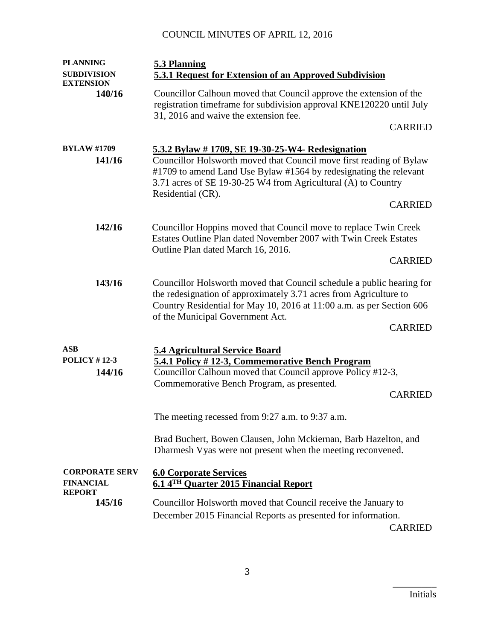# COUNCIL MINUTES OF APRIL 12, 2016

| <b>PLANNING</b>                                            | 5.3 Planning                                                                                                                                                                                                                                                                       |
|------------------------------------------------------------|------------------------------------------------------------------------------------------------------------------------------------------------------------------------------------------------------------------------------------------------------------------------------------|
| <b>SUBDIVISION</b><br><b>EXTENSION</b>                     | 5.3.1 Request for Extension of an Approved Subdivision                                                                                                                                                                                                                             |
| 140/16                                                     | Councillor Calhoun moved that Council approve the extension of the<br>registration timeframe for subdivision approval KNE120220 until July<br>31, 2016 and waive the extension fee.                                                                                                |
|                                                            | <b>CARRIED</b>                                                                                                                                                                                                                                                                     |
| <b>BYLAW #1709</b><br>141/16                               | 5.3.2 Bylaw #1709, SE 19-30-25-W4- Redesignation<br>Councillor Holsworth moved that Council move first reading of Bylaw<br>#1709 to amend Land Use Bylaw #1564 by redesignating the relevant<br>3.71 acres of SE 19-30-25 W4 from Agricultural (A) to Country<br>Residential (CR). |
|                                                            | <b>CARRIED</b>                                                                                                                                                                                                                                                                     |
| 142/16                                                     | Councillor Hoppins moved that Council move to replace Twin Creek<br>Estates Outline Plan dated November 2007 with Twin Creek Estates<br>Outline Plan dated March 16, 2016.                                                                                                         |
|                                                            | <b>CARRIED</b>                                                                                                                                                                                                                                                                     |
| 143/16                                                     | Councillor Holsworth moved that Council schedule a public hearing for<br>the redesignation of approximately 3.71 acres from Agriculture to<br>Country Residential for May 10, 2016 at 11:00 a.m. as per Section 606<br>of the Municipal Government Act.<br><b>CARRIED</b>          |
|                                                            |                                                                                                                                                                                                                                                                                    |
| <b>ASB</b><br><b>POLICY #12-3</b><br>144/16                | <b>5.4 Agricultural Service Board</b><br>5.4.1 Policy #12-3, Commemorative Bench Program<br>Councillor Calhoun moved that Council approve Policy #12-3,<br>Commemorative Bench Program, as presented.<br><b>CARRIED</b>                                                            |
|                                                            | The meeting recessed from 9:27 a.m. to 9:37 a.m.                                                                                                                                                                                                                                   |
|                                                            | Brad Buchert, Bowen Clausen, John Mckiernan, Barb Hazelton, and<br>Dharmesh Vyas were not present when the meeting reconvened.                                                                                                                                                     |
| <b>CORPORATE SERV</b><br><b>FINANCIAL</b><br><b>REPORT</b> | <b>6.0 Corporate Services</b><br>6.14TH Quarter 2015 Financial Report                                                                                                                                                                                                              |
| 145/16                                                     | Councillor Holsworth moved that Council receive the January to<br>December 2015 Financial Reports as presented for information.<br><b>CARRIED</b>                                                                                                                                  |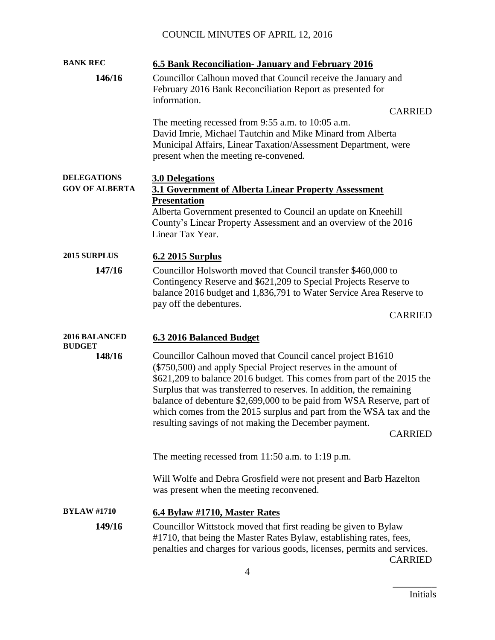| <b>BANK REC</b>                             | 6.5 Bank Reconciliation - January and February 2016                                                                                                                                                                                                                                                                                                                                                                                                                                                        |
|---------------------------------------------|------------------------------------------------------------------------------------------------------------------------------------------------------------------------------------------------------------------------------------------------------------------------------------------------------------------------------------------------------------------------------------------------------------------------------------------------------------------------------------------------------------|
| 146/16                                      | Councillor Calhoun moved that Council receive the January and<br>February 2016 Bank Reconciliation Report as presented for<br>information.<br><b>CARRIED</b><br>The meeting recessed from $9:55$ a.m. to 10:05 a.m.<br>David Imrie, Michael Tautchin and Mike Minard from Alberta<br>Municipal Affairs, Linear Taxation/Assessment Department, were<br>present when the meeting re-convened.                                                                                                               |
| <b>DELEGATIONS</b><br><b>GOV OF ALBERTA</b> | <b>3.0 Delegations</b><br>3.1 Government of Alberta Linear Property Assessment<br><b>Presentation</b><br>Alberta Government presented to Council an update on Kneehill                                                                                                                                                                                                                                                                                                                                     |
|                                             | County's Linear Property Assessment and an overview of the 2016<br>Linear Tax Year.                                                                                                                                                                                                                                                                                                                                                                                                                        |
| 2015 SURPLUS                                | 6.2 2015 Surplus                                                                                                                                                                                                                                                                                                                                                                                                                                                                                           |
| 147/16                                      | Councillor Holsworth moved that Council transfer \$460,000 to<br>Contingency Reserve and \$621,209 to Special Projects Reserve to<br>balance 2016 budget and 1,836,791 to Water Service Area Reserve to<br>pay off the debentures.<br><b>CARRIED</b>                                                                                                                                                                                                                                                       |
|                                             |                                                                                                                                                                                                                                                                                                                                                                                                                                                                                                            |
| <b>2016 BALANCED</b><br><b>BUDGET</b>       | 6.3 2016 Balanced Budget                                                                                                                                                                                                                                                                                                                                                                                                                                                                                   |
| 148/16                                      | Councillor Calhoun moved that Council cancel project B1610<br>(\$750,500) and apply Special Project reserves in the amount of<br>\$621,209 to balance 2016 budget. This comes from part of the 2015 the<br>Surplus that was transferred to reserves. In addition, the remaining<br>balance of debenture \$2,699,000 to be paid from WSA Reserve, part of<br>which comes from the 2015 surplus and part from the WSA tax and the<br>resulting savings of not making the December payment.<br><b>CARRIED</b> |
|                                             | The meeting recessed from $11:50$ a.m. to $1:19$ p.m.                                                                                                                                                                                                                                                                                                                                                                                                                                                      |
|                                             | Will Wolfe and Debra Grosfield were not present and Barb Hazelton<br>was present when the meeting reconvened.                                                                                                                                                                                                                                                                                                                                                                                              |
| <b>BYLAW #1710</b>                          | 6.4 Bylaw #1710, Master Rates                                                                                                                                                                                                                                                                                                                                                                                                                                                                              |
| 149/16                                      | Councillor Wittstock moved that first reading be given to Bylaw<br>#1710, that being the Master Rates Bylaw, establishing rates, fees,<br>penalties and charges for various goods, licenses, permits and services.<br><b>CARRIED</b>                                                                                                                                                                                                                                                                       |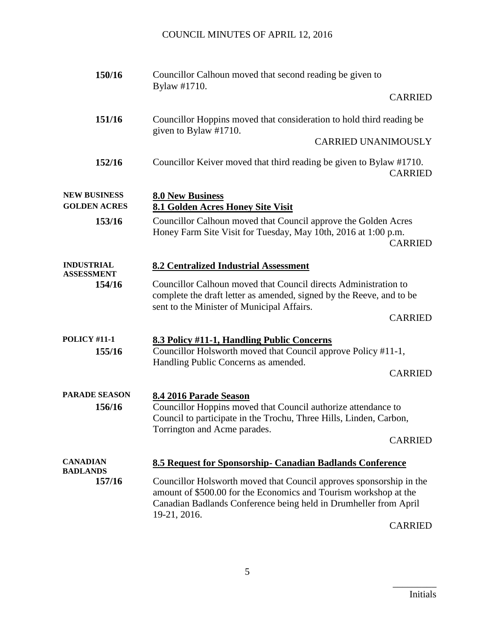| 150/16                                     | Councillor Calhoun moved that second reading be given to<br>Bylaw #1710.                                                                                                                                                    |
|--------------------------------------------|-----------------------------------------------------------------------------------------------------------------------------------------------------------------------------------------------------------------------------|
|                                            | <b>CARRIED</b>                                                                                                                                                                                                              |
| 151/16                                     | Councillor Hoppins moved that consideration to hold third reading be<br>given to Bylaw #1710.                                                                                                                               |
|                                            | <b>CARRIED UNANIMOUSLY</b>                                                                                                                                                                                                  |
| 152/16                                     | Councillor Keiver moved that third reading be given to Bylaw #1710.<br><b>CARRIED</b>                                                                                                                                       |
| <b>NEW BUSINESS</b><br><b>GOLDEN ACRES</b> | <b>8.0 New Business</b><br>8.1 Golden Acres Honey Site Visit                                                                                                                                                                |
| 153/16                                     | Councillor Calhoun moved that Council approve the Golden Acres<br>Honey Farm Site Visit for Tuesday, May 10th, 2016 at 1:00 p.m.<br><b>CARRIED</b>                                                                          |
| <b>INDUSTRIAL</b><br><b>ASSESSMENT</b>     | <b>8.2 Centralized Industrial Assessment</b>                                                                                                                                                                                |
| 154/16                                     | Councillor Calhoun moved that Council directs Administration to<br>complete the draft letter as amended, signed by the Reeve, and to be<br>sent to the Minister of Municipal Affairs.                                       |
|                                            | <b>CARRIED</b>                                                                                                                                                                                                              |
| <b>POLICY #11-1</b><br>155/16              | 8.3 Policy #11-1, Handling Public Concerns<br>Councillor Holsworth moved that Council approve Policy #11-1,<br>Handling Public Concerns as amended.<br><b>CARRIED</b>                                                       |
| <b>PARADE SEASON</b>                       | 8.4 2016 Parade Season                                                                                                                                                                                                      |
| 156/16                                     | Councillor Hoppins moved that Council authorize attendance to<br>Council to participate in the Trochu, Three Hills, Linden, Carbon,                                                                                         |
|                                            | Torrington and Acme parades.<br><b>CARRIED</b>                                                                                                                                                                              |
| <b>CANADIAN</b><br><b>BADLANDS</b>         | 8.5 Request for Sponsorship- Canadian Badlands Conference                                                                                                                                                                   |
| 157/16                                     | Councillor Holsworth moved that Council approves sponsorship in the<br>amount of \$500.00 for the Economics and Tourism workshop at the<br>Canadian Badlands Conference being held in Drumheller from April<br>19-21, 2016. |

CARRIED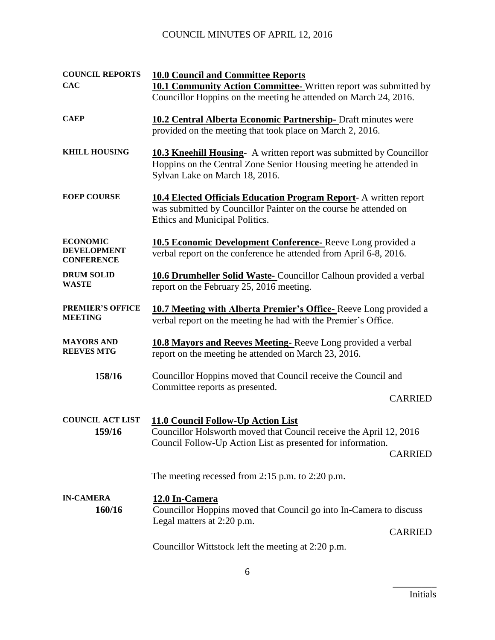# COUNCIL MINUTES OF APRIL 12, 2016

| <b>COUNCIL REPORTS</b>                                     | <b>10.0 Council and Committee Reports</b>                                                                                                                                                 |
|------------------------------------------------------------|-------------------------------------------------------------------------------------------------------------------------------------------------------------------------------------------|
| <b>CAC</b>                                                 | 10.1 Community Action Committee-Written report was submitted by                                                                                                                           |
|                                                            | Councillor Hoppins on the meeting he attended on March 24, 2016.                                                                                                                          |
| <b>CAEP</b>                                                | <b>10.2 Central Alberta Economic Partnership-</b> Draft minutes were<br>provided on the meeting that took place on March 2, 2016.                                                         |
| <b>KHILL HOUSING</b>                                       | <b>10.3 Kneehill Housing-</b> A written report was submitted by Councillor<br>Hoppins on the Central Zone Senior Housing meeting he attended in<br>Sylvan Lake on March 18, 2016.         |
| <b>EOEP COURSE</b>                                         | <b>10.4 Elected Officials Education Program Report- A written report</b><br>was submitted by Councillor Painter on the course he attended on<br>Ethics and Municipal Politics.            |
| <b>ECONOMIC</b><br><b>DEVELOPMENT</b><br><b>CONFERENCE</b> | 10.5 Economic Development Conference-Reeve Long provided a<br>verbal report on the conference he attended from April 6-8, 2016.                                                           |
| <b>DRUM SOLID</b><br><b>WASTE</b>                          | <b>10.6 Drumheller Solid Waste-</b> Councillor Calhoun provided a verbal<br>report on the February 25, 2016 meeting.                                                                      |
| <b>PREMIER'S OFFICE</b><br><b>MEETING</b>                  | 10.7 Meeting with Alberta Premier's Office-Reeve Long provided a<br>verbal report on the meeting he had with the Premier's Office.                                                        |
| <b>MAYORS AND</b><br><b>REEVES MTG</b>                     | <b>10.8 Mayors and Reeves Meeting-Reeve Long provided a verbal</b><br>report on the meeting he attended on March 23, 2016.                                                                |
| 158/16                                                     | Councillor Hoppins moved that Council receive the Council and<br>Committee reports as presented.<br><b>CARRIED</b>                                                                        |
| <b>COUNCIL ACT LIST</b><br>159/16                          | 11.0 Council Follow-Up Action List<br>Councillor Holsworth moved that Council receive the April 12, 2016<br>Council Follow-Up Action List as presented for information.<br><b>CARRIED</b> |
|                                                            | The meeting recessed from 2:15 p.m. to 2:20 p.m.                                                                                                                                          |
| <b>IN-CAMERA</b><br>160/16                                 | 12.0 In-Camera<br>Councillor Hoppins moved that Council go into In-Camera to discuss<br>Legal matters at 2:20 p.m.<br><b>CARRIED</b>                                                      |
|                                                            | Councillor Wittstock left the meeting at 2:20 p.m.                                                                                                                                        |